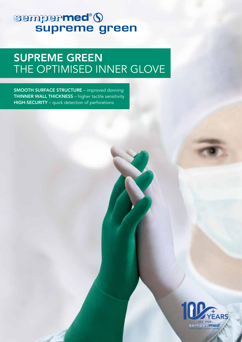# sempermed®()

## SUPREME GREEN THE OPTIMISED INNER GLOVE

SMOOTH SURFACE STRUCTURE – improved donning THINNER WALL THICKNESS – higher tactile sensitivity HIGH-SECURITY – quick detection of perforations